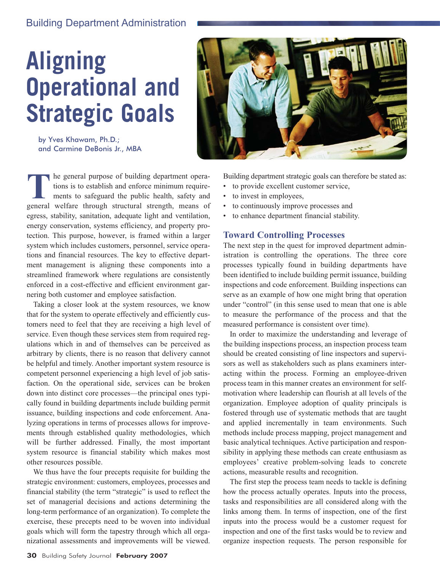# Building Department Administration

# **Aligning Operational and Strategic Goals**

by Yves Khawam, Ph.D.; and Carmine DeBonis Jr., MBA

**T** he general purpose of building department opera-<br>tions is to establish and enforce minimum require-<br>ments to safeguard the public health, safety and<br>general welfare through structural strength means of tions is to establish and enforce minimum requirements to safeguard the public health, safety and general welfare through structural strength, means of egress, stability, sanitation, adequate light and ventilation, energy conservation, systems efficiency, and property protection. This purpose, however, is framed within a larger system which includes customers, personnel, service operations and financial resources. The key to effective department management is aligning these components into a streamlined framework where regulations are consistently enforced in a cost-effective and efficient environment garnering both customer and employee satisfaction.

Taking a closer look at the system resources, we know that for the system to operate effectively and efficiently customers need to feel that they are receiving a high level of service. Even though these services stem from required regulations which in and of themselves can be perceived as arbitrary by clients, there is no reason that delivery cannot be helpful and timely. Another important system resource is competent personnel experiencing a high level of job satisfaction. On the operational side, services can be broken down into distinct core processes—the principal ones typically found in building departments include building permit issuance, building inspections and code enforcement. Analyzing operations in terms of processes allows for improvements through established quality methodologies, which will be further addressed. Finally, the most important system resource is financial stability which makes most other resources possible.

We thus have the four precepts requisite for building the strategic environment: customers, employees, processes and financial stability (the term "strategic" is used to reflect the set of managerial decisions and actions determining the long-term performance of an organization). To complete the exercise, these precepts need to be woven into individual goals which will form the tapestry through which all organizational assessments and improvements will be viewed.



Building department strategic goals can therefore be stated as:

- to provide excellent customer service,
- to invest in employees,
- to continuously improve processes and
- to enhance department financial stability.

## **Toward Controlling Processes**

The next step in the quest for improved department administration is controlling the operations. The three core processes typically found in building departments have been identified to include building permit issuance, building inspections and code enforcement. Building inspections can serve as an example of how one might bring that operation under "control" (in this sense used to mean that one is able to measure the performance of the process and that the measured performance is consistent over time).

In order to maximize the understanding and leverage of the building inspections process, an inspection process team should be created consisting of line inspectors and supervisors as well as stakeholders such as plans examiners interacting within the process. Forming an employee-driven process team in this manner creates an environment for selfmotivation where leadership can flourish at all levels of the organization. Employee adoption of quality principals is fostered through use of systematic methods that are taught and applied incrementally in team environments. Such methods include process mapping, project management and basic analytical techniques. Active participation and responsibility in applying these methods can create enthusiasm as employees' creative problem-solving leads to concrete actions, measurable results and recognition.

The first step the process team needs to tackle is defining how the process actually operates. Inputs into the process, tasks and responsibilities are all considered along with the links among them. In terms of inspection, one of the first inputs into the process would be a customer request for inspection and one of the first tasks would be to review and organize inspection requests. The person responsible for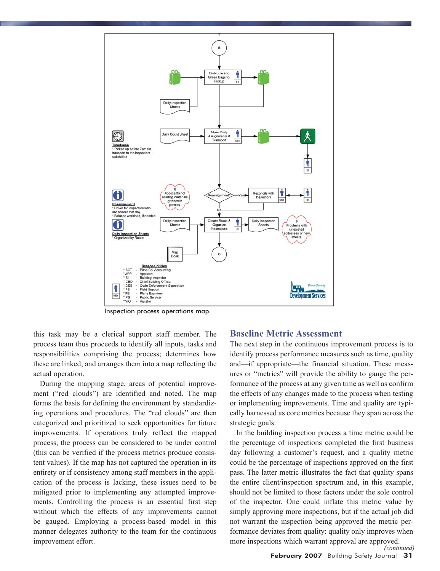

Inspection process operations map.

this task may be a clerical support staff member. The process team thus proceeds to identify all inputs, tasks and responsibilities comprising the process; determines how these are linked; and arranges them into a map reflecting the actual operation.

During the mapping stage, areas of potential improvement ("red clouds") are identified and noted. The map forms the basis for defining the environment by standardizing operations and procedures. The "red clouds" are then categorized and prioritized to seek opportunities for future improvements. If operations truly reflect the mapped process, the process can be considered to be under control (this can be verified if the process metrics produce consistent values). If the map has not captured the operation in its entirety or if consistency among staff members in the application of the process is lacking, these issues need to be mitigated prior to implementing any attempted improvements. Controlling the process is an essential first step without which the effects of any improvements cannot be gauged. Employing a process-based model in this manner delegates authority to the team for the continuous improvement effort.

#### **Baseline Metric Assessment**

The next step in the continuous improvement process is to identify process performance measures such as time, quality and—if appropriate—the financial situation. These measures or "metrics" will provide the ability to gauge the performance of the process at any given time as well as confirm the effects of any changes made to the process when testing or implementing improvements. Time and quality are typically harnessed as core metrics because they span across the strategic goals.

In the building inspection process a time metric could be the percentage of inspections completed the first business day following a customer's request, and a quality metric could be the percentage of inspections approved on the first pass. The latter metric illustrates the fact that quality spans the entire client/inspection spectrum and, in this example, should not be limited to those factors under the sole control of the inspector. One could inflate this metric value by simply approving more inspections, but if the actual job did not warrant the inspection being approved the metric performance deviates from quality: quality only improves when more inspections which warrant approval are approved. *(continued)*